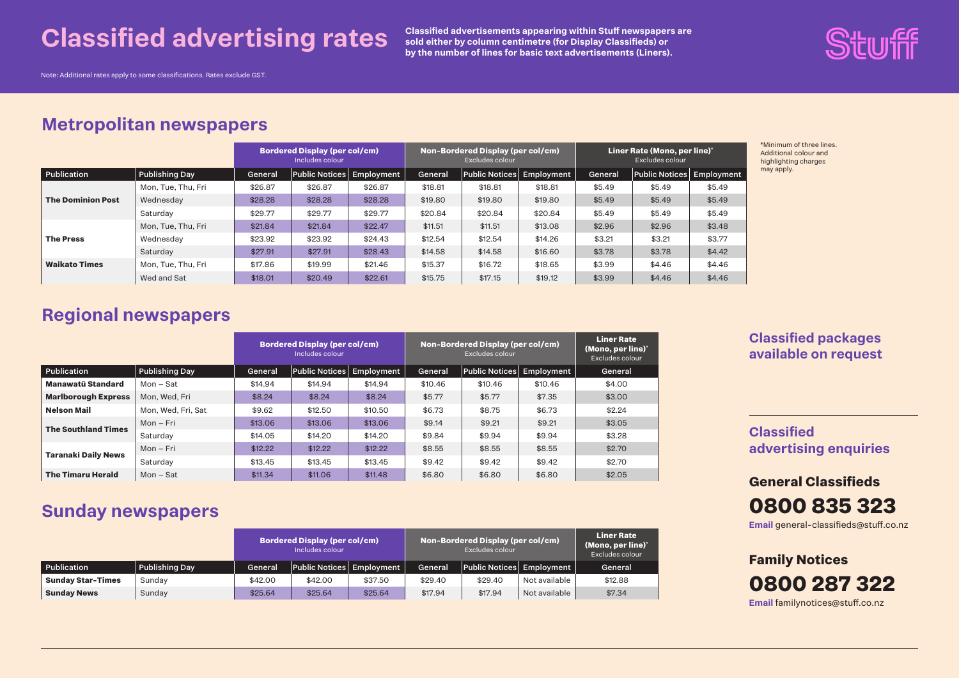## **Classified advertising rates**

**Classified advertisements appearing within Stuff newspapers are sold either by column centimetre (for Display Classifieds) or by the number of lines for basic text advertisements (Liners).**



Note: Additional rates apply to some classifications. Rates exclude GST.

## **Metropolitan newspapers**

|                          |                    | <b>Bordered Display (per col/cm)</b><br>Includes colour |                           |         | Non-Bordered Display (per col/cm)<br>Excludes colour |                           |         | Liner Rate (Mono, per line)*<br>Excludes colour |                           |        |
|--------------------------|--------------------|---------------------------------------------------------|---------------------------|---------|------------------------------------------------------|---------------------------|---------|-------------------------------------------------|---------------------------|--------|
| Publication              | Publishing Day     | General                                                 | Public Notices Employment |         | General                                              | Public Notices Employment |         | General                                         | Public Notices Employment |        |
|                          | Mon. Tue. Thu. Fri | \$26.87                                                 | \$26.87                   | \$26.87 | \$18.81                                              | \$18.81                   | \$18.81 | \$5.49                                          | \$5.49                    | \$5.49 |
| <b>The Dominion Post</b> | Wednesday          | \$28.28                                                 | \$28.28                   | \$28.28 | \$19.80                                              | \$19.80                   | \$19.80 | \$5.49                                          | \$5.49                    | \$5.49 |
|                          | Saturdav           | \$29.77                                                 | \$29.77                   | \$29.77 | \$20.84                                              | \$20.84                   | \$20.84 | \$5.49                                          | \$5.49                    | \$5.49 |
|                          | Mon, Tue, Thu, Fri | \$21.84                                                 | \$21.84                   | \$22.47 | \$11.51                                              | \$11.51                   | \$13.08 | \$2.96                                          | \$2.96                    | \$3.48 |
| <b>The Press</b>         | Wednesdav          | \$23.92                                                 | \$23.92                   | \$24.43 | \$12.54                                              | \$12.54                   | \$14.26 | \$3.21                                          | \$3.21                    | \$3.77 |
|                          | Saturday           | \$27.91                                                 | \$27.91                   | \$28.43 | \$14.58                                              | \$14.58                   | \$16.60 | \$3.78                                          | \$3.78                    | \$4.42 |
| <b>Waikato Times</b>     | Mon. Tue. Thu. Fri | \$17.86                                                 | \$19.99                   | \$21.46 | \$15.37                                              | \$16.72                   | \$18.65 | \$3.99                                          | \$4.46                    | \$4.46 |
|                          | Wed and Sat        | \$18.01                                                 | \$20.49                   | \$22.61 | \$15.75                                              | \$17.15                   | \$19.12 | \$3.99                                          | \$4.46                    | \$4.46 |

\*Minimum of three lines. Additional colour and highlighting charges may apply.

## **Regional newspapers**

|                            |                       |         | <b>Bordered Display (per col/cm)</b><br>Includes colour |            | Non-Bordered Display (per col/cm) | <b>Liner Rate</b><br>(Mono, per line)*<br>Excludes colour |            |         |
|----------------------------|-----------------------|---------|---------------------------------------------------------|------------|-----------------------------------|-----------------------------------------------------------|------------|---------|
| Publication                | <b>Publishing Day</b> | General | <b>Public Notices</b>                                   | Employment | General                           | Public Notices                                            | Employment | General |
| Manawatū Standard          | $Mon - Sat$           | \$14.94 | \$14.94                                                 | \$14.94    | \$10.46                           | \$10.46                                                   | \$10.46    | \$4.00  |
| <b>Marlborough Express</b> | Mon. Wed. Fri         | \$8.24  | \$8.24                                                  | \$8.24     | \$5.77                            | \$5.77                                                    | \$7.35     | \$3.00  |
| <b>Nelson Mail</b>         | Mon. Wed. Fri. Sat    | \$9.62  | \$12.50                                                 | \$10.50    | \$6.73                            | \$8.75                                                    | \$6.73     | \$2.24  |
| <b>The Southland Times</b> | Mon - Fri             | \$13.06 | \$13.06                                                 | \$13.06    | \$9.14                            | \$9.21                                                    | \$9.21     | \$3.05  |
|                            | Saturdav              | \$14.05 | \$14.20                                                 | \$14.20    | \$9.84                            | \$9.94                                                    | \$9.94     | \$3.28  |
|                            | $Mon-Fri$             | \$12.22 | \$12.22                                                 | \$12.22    | \$8.55                            | \$8.55                                                    | \$8.55     | \$2.70  |
| <b>Taranaki Daily News</b> | Saturday              | \$13.45 | \$13.45                                                 | \$13.45    | \$9.42                            | \$9.42                                                    | \$9.42     | \$2.70  |
| <b>The Timaru Herald</b>   | Mon – Sat             | \$11.34 | \$11.06                                                 | \$11.48    | \$6.80                            | \$6.80                                                    | \$6.80     | \$2.05  |

## **Sunday newspapers**

|                          |                       |         | <b>Bordered Display (per col/cm)</b><br>Includes colour |         |         | Non-Bordered Display (per col/cm)<br>Excludes colour |               | <b>Liner Rate</b><br>(Mono, per line)*<br>Excludes colour |
|--------------------------|-----------------------|---------|---------------------------------------------------------|---------|---------|------------------------------------------------------|---------------|-----------------------------------------------------------|
| Publication              | <b>Publishing Day</b> | General | Public Notices Employment                               |         | General | Public Notices Employment                            |               | General                                                   |
| <b>Sunday Star-Times</b> | Sunday                | \$42.00 | \$42.00                                                 | \$37.50 | \$29.40 | \$29.40                                              | Not available | \$12.88                                                   |
| <b>Sunday News</b>       | Sunday                | \$25.64 | \$25.64                                                 | \$25.64 | \$17.94 | \$17.94                                              | Not available | \$7.34                                                    |

#### **Classified packages available on request**

**Classified advertising enquiries**

**General Classifieds Email** general-classifieds@stuff.co.nz **0800 835 323**

**Family Notices Email** familynotices@stuff.co.nz **0800 287 322**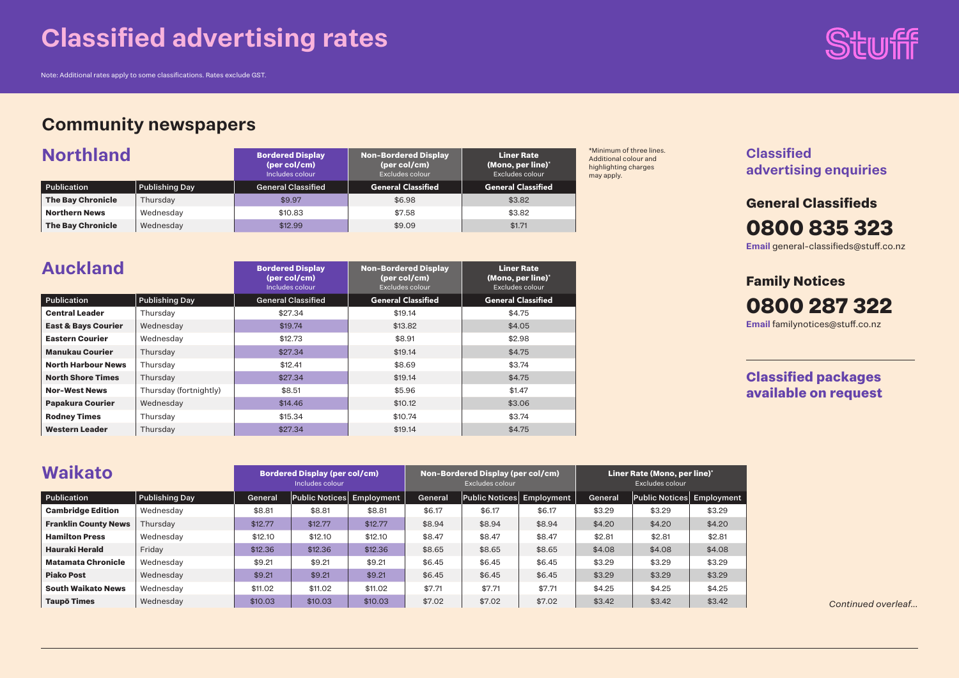# **Classified advertising rates**

Note: Additional rates apply to some classifications. Rates exclude GST.

## **Community newspapers**

| <b>Northland</b>         |                       | <b>Bordered Display</b><br>(per col/cm)<br>Includes colour | <b>Non-Bordered Display</b><br>(per col/cm)<br>Excludes colour | <b>Liner Rate</b><br>(Mono, per line)*<br>Excludes colour |
|--------------------------|-----------------------|------------------------------------------------------------|----------------------------------------------------------------|-----------------------------------------------------------|
| Publication              | <b>Publishing Day</b> | <b>General Classified</b>                                  | <b>General Classified</b>                                      | <b>General Classified</b>                                 |
| <b>The Bay Chronicle</b> | Thursday              | \$9.97                                                     | \$6.98                                                         | \$3.82                                                    |
| <b>Northern News</b>     | Wednesday             | \$10.83                                                    | \$7.58                                                         | \$3.82                                                    |
| <b>The Bay Chronicle</b> | Wednesday             | \$12.99                                                    | \$9.09                                                         | \$1.71                                                    |

| <b>Auckland</b>                |                        | <b>Bordered Display</b><br>(per col/cm)<br>Includes colour | <b>Non-Bordered Display</b><br>(per col/cm)<br>Excludes colour | <b>Liner Rate</b><br>(Mono, per line)*<br>Excludes colour |
|--------------------------------|------------------------|------------------------------------------------------------|----------------------------------------------------------------|-----------------------------------------------------------|
| Publication                    | <b>Publishing Day</b>  | <b>General Classified</b>                                  | <b>General Classified</b>                                      | <b>General Classified</b>                                 |
| <b>Central Leader</b>          | Thursdav               | \$27.34                                                    | \$19.14                                                        | \$4.75                                                    |
| <b>East &amp; Bays Courier</b> | Wednesday              | \$19.74                                                    | \$13.82                                                        | \$4.05                                                    |
| <b>Eastern Courier</b>         | Wednesdav              | \$12.73                                                    | \$8.91                                                         | \$2.98                                                    |
| <b>Manukau Courier</b>         | Thursday               | \$27.34                                                    | \$19.14                                                        | \$4.75                                                    |
| <b>North Harbour News</b>      | Thursdav               | \$12.41                                                    | \$8.69                                                         | \$3.74                                                    |
| <b>North Shore Times</b>       | Thursday               | \$27.34                                                    | \$19.14                                                        | \$4.75                                                    |
| <b>Nor-West News</b>           | Thursday (fortnightly) | \$8.51                                                     | \$5.96                                                         | \$1.47                                                    |
| <b>Papakura Courier</b>        | Wednesday              | \$14.46                                                    | \$10.12                                                        | \$3.06                                                    |
| <b>Rodney Times</b>            | Thursdav               | \$15.34                                                    | \$10.74                                                        | \$3.74                                                    |
| <b>Western Leader</b>          | Thursday               | \$27.34                                                    | \$19.14                                                        | \$4.75                                                    |

**Inimum of three lines.** ditional colour and highlighting charges ay apply.



**Classified advertising enquiries**

**General Classifieds Email** general-classifieds@stuff.co.nz **0800 835 323**

**Family Notices Email** familynotices@stuff.co.nz **0800 287 322**

**Classified packages available on request**

| <b>Waikato</b>              |                       |         | <b>Bordered Display (per col/cm)</b><br>Includes colour |         |         | Non-Bordered Display (per col/cm)<br>Excludes colour |        |         | Liner Rate (Mono, per line)*<br>Excludes colour |        |
|-----------------------------|-----------------------|---------|---------------------------------------------------------|---------|---------|------------------------------------------------------|--------|---------|-------------------------------------------------|--------|
| Publication                 | <b>Publishing Day</b> | General | Public Notices Employment                               |         | General | Public Notices Employment                            |        | General | Public Notices Employment                       |        |
| <b>Cambridge Edition</b>    | Wednesdav             | \$8.81  | \$8.81                                                  | \$8.81  | \$6.17  | \$6.17                                               | \$6.17 | \$3.29  | \$3.29                                          | \$3.29 |
| <b>Franklin County News</b> | Thursdav              | \$12.77 | \$12.77                                                 | \$12.77 | \$8.94  | \$8.94                                               | \$8.94 | \$4.20  | \$4.20                                          | \$4.20 |
| <b>Hamilton Press</b>       | Wednesdav             | \$12.10 | \$12.10                                                 | \$12.10 | \$8.47  | \$8.47                                               | \$8.47 | \$2.81  | \$2.81                                          | \$2.81 |
| Hauraki Herald              | Friday                | \$12.36 | \$12.36                                                 | \$12.36 | \$8.65  | \$8.65                                               | \$8.65 | \$4.08  | \$4.08                                          | \$4.08 |
| <b>Matamata Chronicle</b>   | Wednesdav             | \$9.21  | \$9.21                                                  | \$9.21  | \$6.45  | \$6.45                                               | \$6.45 | \$3.29  | \$3.29                                          | \$3.29 |
| <b>Piako Post</b>           | Wednesdav             | \$9.21  | \$9.21                                                  | \$9.21  | \$6.45  | \$6.45                                               | \$6.45 | \$3.29  | \$3.29                                          | \$3.29 |
| <b>South Waikato News</b>   | Wednesdav             | \$11.02 | \$11.02                                                 | \$11.02 | \$7.71  | \$7.71                                               | \$7.71 | \$4.25  | \$4.25                                          | \$4.25 |
| <b>Taupō Times</b>          | Wednesday             | \$10.03 | \$10.03                                                 | \$10.03 | \$7.02  | \$7.02                                               | \$7.02 | \$3.42  | \$3.42                                          | \$3.42 |

*Continued overleaf...*